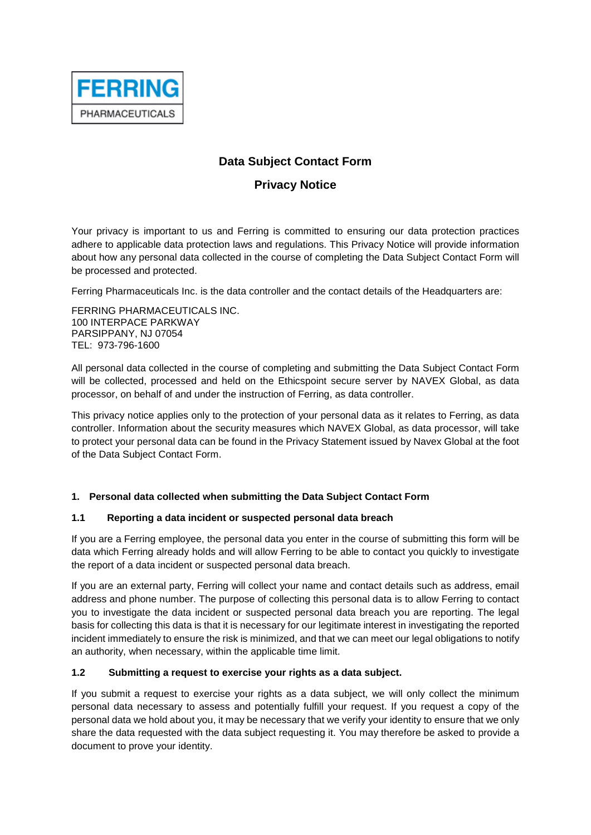

# **Data Subject Contact Form**

# **Privacy Notice**

Your privacy is important to us and Ferring is committed to ensuring our data protection practices adhere to applicable data protection laws and regulations. This Privacy Notice will provide information about how any personal data collected in the course of completing the Data Subject Contact Form will be processed and protected.

Ferring Pharmaceuticals Inc. is the data controller and the contact details of the Headquarters are:

FERRING PHARMACEUTICALS INC. 100 INTERPACE PARKWAY PARSIPPANY, NJ 07054 TEL: 973-796-1600

All personal data collected in the course of completing and submitting the Data Subject Contact Form will be collected, processed and held on the Ethicspoint secure server by NAVEX Global, as data processor, on behalf of and under the instruction of Ferring, as data controller.

This privacy notice applies only to the protection of your personal data as it relates to Ferring, as data controller. Information about the security measures which NAVEX Global, as data processor, will take to protect your personal data can be found in the Privacy Statement issued by Navex Global at the foot of the Data Subject Contact Form.

### **1. Personal data collected when submitting the Data Subject Contact Form**

### **1.1 Reporting a data incident or suspected personal data breach**

If you are a Ferring employee, the personal data you enter in the course of submitting this form will be data which Ferring already holds and will allow Ferring to be able to contact you quickly to investigate the report of a data incident or suspected personal data breach.

If you are an external party, Ferring will collect your name and contact details such as address, email address and phone number. The purpose of collecting this personal data is to allow Ferring to contact you to investigate the data incident or suspected personal data breach you are reporting. The legal basis for collecting this data is that it is necessary for our legitimate interest in investigating the reported incident immediately to ensure the risk is minimized, and that we can meet our legal obligations to notify an authority, when necessary, within the applicable time limit.

#### **1.2 Submitting a request to exercise your rights as a data subject.**

If you submit a request to exercise your rights as a data subject, we will only collect the minimum personal data necessary to assess and potentially fulfill your request. If you request a copy of the personal data we hold about you, it may be necessary that we verify your identity to ensure that we only share the data requested with the data subject requesting it. You may therefore be asked to provide a document to prove your identity.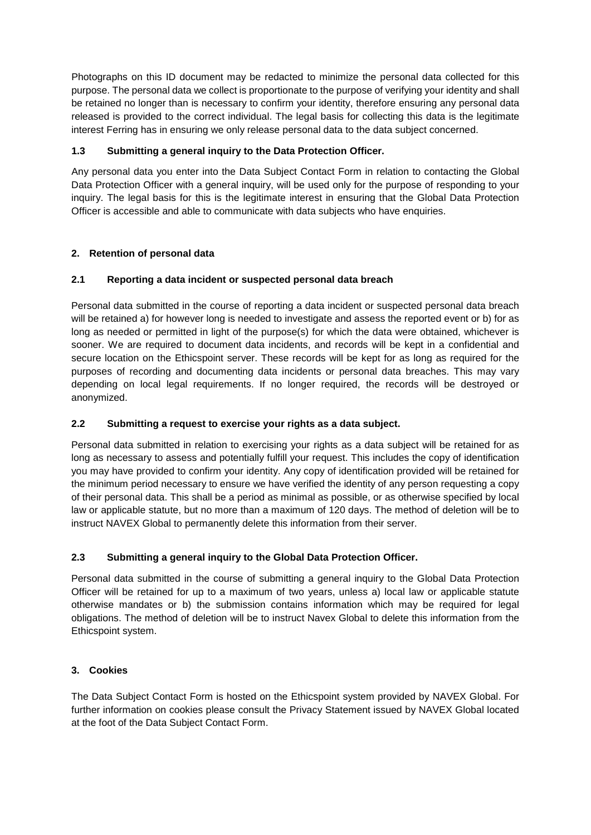Photographs on this ID document may be redacted to minimize the personal data collected for this purpose. The personal data we collect is proportionate to the purpose of verifying your identity and shall be retained no longer than is necessary to confirm your identity, therefore ensuring any personal data released is provided to the correct individual. The legal basis for collecting this data is the legitimate interest Ferring has in ensuring we only release personal data to the data subject concerned.

## **1.3 Submitting a general inquiry to the Data Protection Officer.**

Any personal data you enter into the Data Subject Contact Form in relation to contacting the Global Data Protection Officer with a general inquiry, will be used only for the purpose of responding to your inquiry. The legal basis for this is the legitimate interest in ensuring that the Global Data Protection Officer is accessible and able to communicate with data subjects who have enquiries.

# **2. Retention of personal data**

# **2.1 Reporting a data incident or suspected personal data breach**

Personal data submitted in the course of reporting a data incident or suspected personal data breach will be retained a) for however long is needed to investigate and assess the reported event or b) for as long as needed or permitted in light of the purpose(s) for which the data were obtained, whichever is sooner. We are required to document data incidents, and records will be kept in a confidential and secure location on the Ethicspoint server. These records will be kept for as long as required for the purposes of recording and documenting data incidents or personal data breaches. This may vary depending on local legal requirements. If no longer required, the records will be destroyed or anonymized.

## **2.2 Submitting a request to exercise your rights as a data subject.**

Personal data submitted in relation to exercising your rights as a data subject will be retained for as long as necessary to assess and potentially fulfill your request. This includes the copy of identification you may have provided to confirm your identity. Any copy of identification provided will be retained for the minimum period necessary to ensure we have verified the identity of any person requesting a copy of their personal data. This shall be a period as minimal as possible, or as otherwise specified by local law or applicable statute, but no more than a maximum of 120 days. The method of deletion will be to instruct NAVEX Global to permanently delete this information from their server.

### **2.3 Submitting a general inquiry to the Global Data Protection Officer.**

Personal data submitted in the course of submitting a general inquiry to the Global Data Protection Officer will be retained for up to a maximum of two years, unless a) local law or applicable statute otherwise mandates or b) the submission contains information which may be required for legal obligations. The method of deletion will be to instruct Navex Global to delete this information from the Ethicspoint system.

### **3. Cookies**

The Data Subject Contact Form is hosted on the Ethicspoint system provided by NAVEX Global. For further information on cookies please consult the Privacy Statement issued by NAVEX Global located at the foot of the Data Subject Contact Form.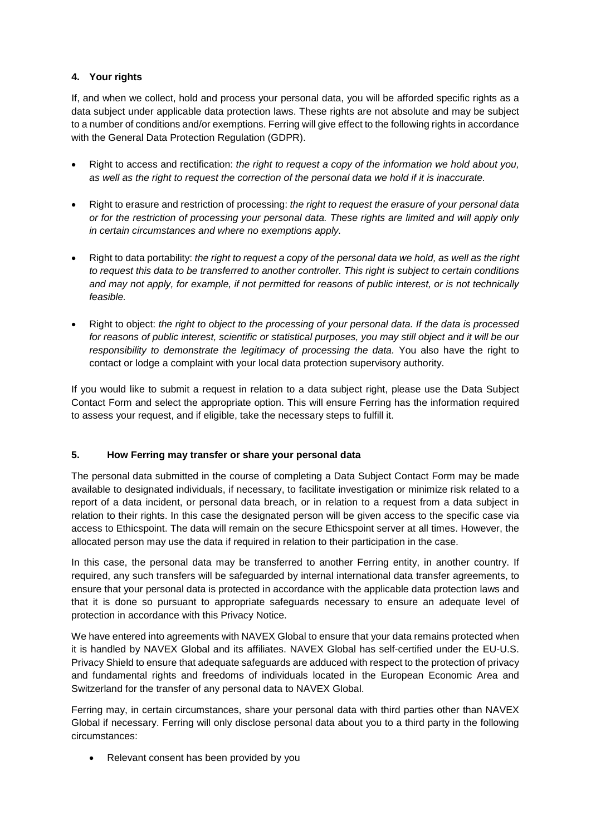### **4. Your rights**

If, and when we collect, hold and process your personal data, you will be afforded specific rights as a data subject under applicable data protection laws. These rights are not absolute and may be subject to a number of conditions and/or exemptions. Ferring will give effect to the following rights in accordance with the General Data Protection Regulation (GDPR).

- Right to access and rectification: *the right to request a copy of the information we hold about you, as well as the right to request the correction of the personal data we hold if it is inaccurate.*
- Right to erasure and restriction of processing: *the right to request the erasure of your personal data or for the restriction of processing your personal data. These rights are limited and will apply only in certain circumstances and where no exemptions apply.*
- Right to data portability: *the right to request a copy of the personal data we hold, as well as the right to request this data to be transferred to another controller. This right is subject to certain conditions and may not apply, for example, if not permitted for reasons of public interest, or is not technically feasible.*
- Right to object: *the right to object to the processing of your personal data. If the data is processed for reasons of public interest, scientific or statistical purposes, you may still object and it will be our responsibility to demonstrate the legitimacy of processing the data.* You also have the right to contact or lodge a complaint with your local data protection supervisory authority.

If you would like to submit a request in relation to a data subject right, please use the Data Subject Contact Form and select the appropriate option. This will ensure Ferring has the information required to assess your request, and if eligible, take the necessary steps to fulfill it.

#### **5. How Ferring may transfer or share your personal data**

The personal data submitted in the course of completing a Data Subject Contact Form may be made available to designated individuals, if necessary, to facilitate investigation or minimize risk related to a report of a data incident, or personal data breach, or in relation to a request from a data subject in relation to their rights. In this case the designated person will be given access to the specific case via access to Ethicspoint. The data will remain on the secure Ethicspoint server at all times. However, the allocated person may use the data if required in relation to their participation in the case.

In this case, the personal data may be transferred to another Ferring entity, in another country. If required, any such transfers will be safeguarded by internal international data transfer agreements, to ensure that your personal data is protected in accordance with the applicable data protection laws and that it is done so pursuant to appropriate safeguards necessary to ensure an adequate level of protection in accordance with this Privacy Notice.

We have entered into agreements with NAVEX Global to ensure that your data remains protected when it is handled by NAVEX Global and its affiliates. NAVEX Global has self-certified under the EU-U.S. Privacy Shield to ensure that adequate safeguards are adduced with respect to the protection of privacy and fundamental rights and freedoms of individuals located in the European Economic Area and Switzerland for the transfer of any personal data to NAVEX Global.

Ferring may, in certain circumstances, share your personal data with third parties other than NAVEX Global if necessary. Ferring will only disclose personal data about you to a third party in the following circumstances:

• Relevant consent has been provided by you